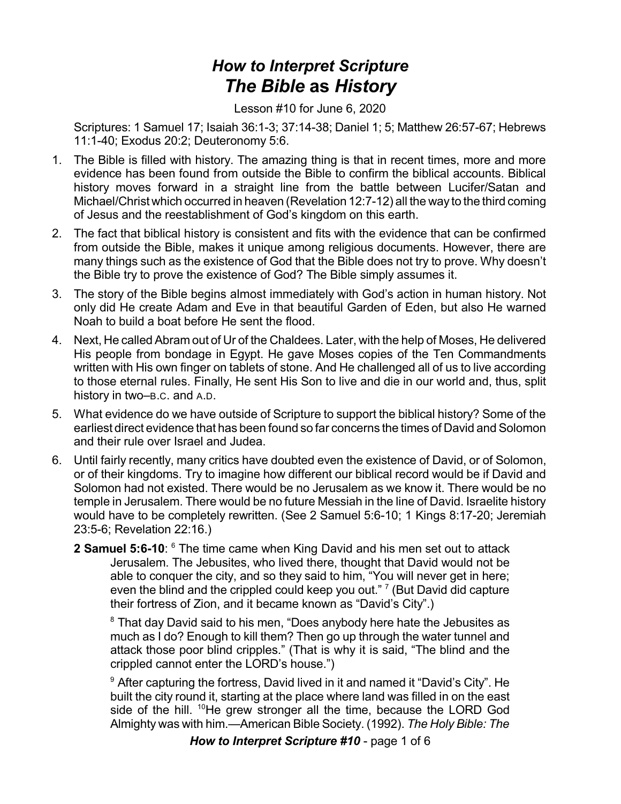## *How to Interpret Scripture The Bible* **as** *History*

Lesson #10 for June 6, 2020

Scriptures: 1 Samuel 17; Isaiah 36:1-3; 37:14-38; Daniel 1; 5; Matthew 26:57-67; Hebrews 11:1-40; Exodus 20:2; Deuteronomy 5:6.

- 1. The Bible is filled with history. The amazing thing is that in recent times, more and more evidence has been found from outside the Bible to confirm the biblical accounts. Biblical history moves forward in a straight line from the battle between Lucifer/Satan and Michael/Christ which occurred in heaven (Revelation 12:7-12) all the way to the third coming of Jesus and the reestablishment of God's kingdom on this earth.
- 2. The fact that biblical history is consistent and fits with the evidence that can be confirmed from outside the Bible, makes it unique among religious documents. However, there are many things such as the existence of God that the Bible does not try to prove. Why doesn't the Bible try to prove the existence of God? The Bible simply assumes it.
- 3. The story of the Bible begins almost immediately with God's action in human history. Not only did He create Adam and Eve in that beautiful Garden of Eden, but also He warned Noah to build a boat before He sent the flood.
- 4. Next, He called Abram out of Ur of the Chaldees. Later, with the help of Moses, He delivered His people from bondage in Egypt. He gave Moses copies of the Ten Commandments written with His own finger on tablets of stone. And He challenged all of us to live according to those eternal rules. Finally, He sent His Son to live and die in our world and, thus, split history in two–B.C. and A.D.
- 5. What evidence do we have outside of Scripture to support the biblical history? Some of the earliest direct evidence that has been found so far concerns the times of David and Solomon and their rule over Israel and Judea.
- 6. Until fairly recently, many critics have doubted even the existence of David, or of Solomon, or of their kingdoms. Try to imagine how different our biblical record would be if David and Solomon had not existed. There would be no Jerusalem as we know it. There would be no temple in Jerusalem. There would be no future Messiah in the line of David. Israelite history would have to be completely rewritten. (See 2 Samuel 5:6-10; 1 Kings 8:17-20; Jeremiah 23:5-6; Revelation 22:16.)
	- **2 Samuel 5:6-10**:  $6$  The time came when King David and his men set out to attack Jerusalem. The Jebusites, who lived there, thought that David would not be able to conquer the city, and so they said to him, "You will never get in here; even the blind and the crippled could keep you out."  $7$  (But David did capture their fortress of Zion, and it became known as "David's City".)

<sup>8</sup> That day David said to his men, "Does anybody here hate the Jebusites as much as I do? Enough to kill them? Then go up through the water tunnel and attack those poor blind cripples." (That is why it is said, "The blind and the crippled cannot enter the LORD's house.")

<sup>9</sup> After capturing the fortress, David lived in it and named it "David's City". He built the city round it, starting at the place where land was filled in on the east side of the hill. <sup>10</sup>He grew stronger all the time, because the LORD God Almighty was with him.—American Bible Society. (1992). *The Holy Bible: The*

*How to Interpret Scripture #10* - page 1 of 6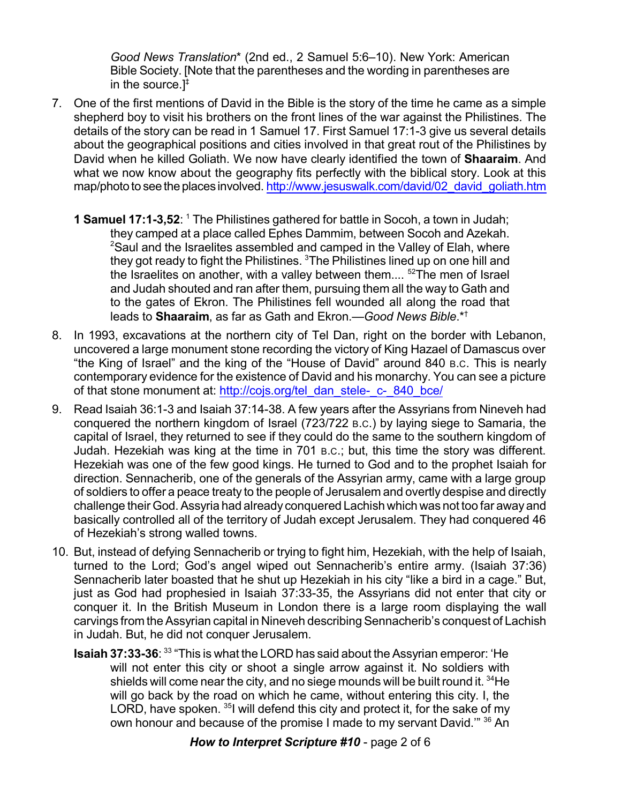*Good News Translation*\* (2nd ed., 2 Samuel 5:6–10). New York: American Bible Society. [Note that the parentheses and the wording in parentheses are in the source.] ‡

- 7. One of the first mentions of David in the Bible is the story of the time he came as a simple shepherd boy to visit his brothers on the front lines of the war against the Philistines. The details of the story can be read in 1 Samuel 17. First Samuel 17:1-3 give us several details about the geographical positions and cities involved in that great rout of the Philistines by David when he killed Goliath. We now have clearly identified the town of **Shaaraim**. And what we now know about the geography fits perfectly with the biblical story. Look at this map/photo to see the places involved. [http://www.jesuswalk.com/david/02\\_david\\_goliath.htm](http://www.jesuswalk.com/david/02_david_goliath.htm)
	- **1 Samuel 17:1-3,52**: <sup>1</sup> The Philistines gathered for battle in Socoh, a town in Judah; they camped at a place called Ephes Dammim, between Socoh and Azekah. <sup>2</sup>Saul and the Israelites assembled and camped in the Valley of Elah, where they got ready to fight the Philistines. <sup>3</sup>The Philistines lined up on one hill and the Israelites on another, with a valley between them.... <sup>52</sup>The men of Israel and Judah shouted and ran after them, pursuing them all the way to Gath and to the gates of Ekron. The Philistines fell wounded all along the road that leads to **Shaaraim**, as far as Gath and Ekron.—*Good News Bible*.\* †
- 8. In 1993, excavations at the northern city of Tel Dan, right on the border with Lebanon, uncovered a large monument stone recording the victory of King Hazael of Damascus over "the King of Israel" and the king of the "House of David" around 840 B.C. This is nearly contemporary evidence for the existence of David and his monarchy. You can see a picture of that stone monument at: [http://cojs.org/tel\\_dan\\_stele-\\_c-\\_840\\_bce/](http://cojs.org/tel_dan_stele-_c-_840_bce/)
- 9. Read Isaiah 36:1-3 and Isaiah 37:14-38. A few years after the Assyrians from Nineveh had conquered the northern kingdom of Israel (723/722 B.C.) by laying siege to Samaria, the capital of Israel, they returned to see if they could do the same to the southern kingdom of Judah. Hezekiah was king at the time in 701 B.C.; but, this time the story was different. Hezekiah was one of the few good kings. He turned to God and to the prophet Isaiah for direction. Sennacherib, one of the generals of the Assyrian army, came with a large group of soldiers to offer a peace treaty to the people of Jerusalem and overtly despise and directly challenge their God.Assyria had already conquered Lachish which was not too far away and basically controlled all of the territory of Judah except Jerusalem. They had conquered 46 of Hezekiah's strong walled towns.
- 10. But, instead of defying Sennacherib or trying to fight him, Hezekiah, with the help of Isaiah, turned to the Lord; God's angel wiped out Sennacherib's entire army. (Isaiah 37:36) Sennacherib later boasted that he shut up Hezekiah in his city "like a bird in a cage." But, just as God had prophesied in Isaiah 37:33-35, the Assyrians did not enter that city or conquer it. In the British Museum in London there is a large room displaying the wall carvings from the Assyrian capital in Nineveh describing Sennacherib's conquest of Lachish in Judah. But, he did not conquer Jerusalem.
	- **Isaiah 37:33-36**: 33 "This is what the LORD has said about the Assyrian emperor: 'He will not enter this city or shoot a single arrow against it. No soldiers with shields will come near the city, and no siege mounds will be built round it.  $^{34}\mathrm{He}$ will go back by the road on which he came, without entering this city. I, the LORD, have spoken. <sup>35</sup>I will defend this city and protect it, for the sake of my own honour and because of the promise I made to my servant David."<sup>36</sup> An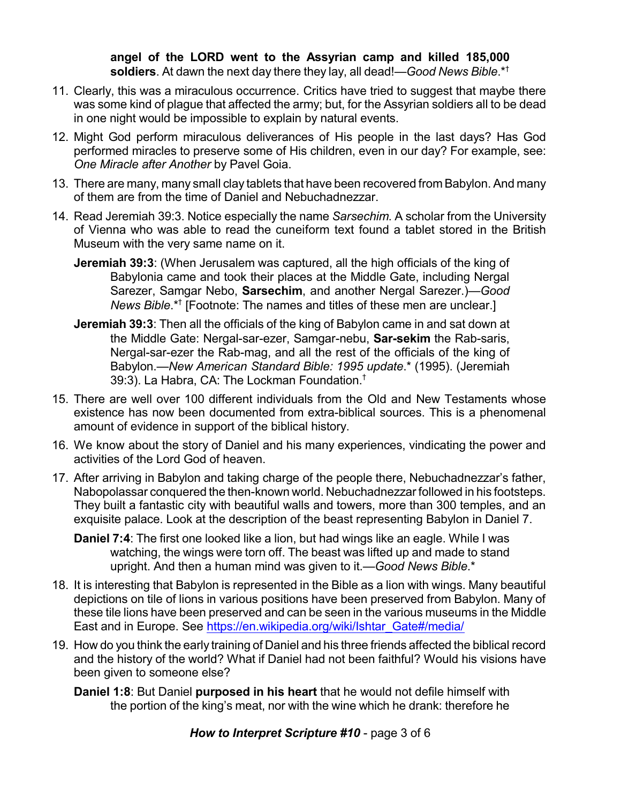**angel of the LORD went to the Assyrian camp and killed 185,000 soldiers**. At dawn the next day there they lay, all dead!—*Good News Bible*.\* †

- 11. Clearly, this was a miraculous occurrence. Critics have tried to suggest that maybe there was some kind of plague that affected the army; but, for the Assyrian soldiers all to be dead in one night would be impossible to explain by natural events.
- 12. Might God perform miraculous deliverances of His people in the last days? Has God performed miracles to preserve some of His children, even in our day? For example, see: *One Miracle after Another* by Pavel Goia.
- 13. There are many, many small clay tablets that have been recovered from Babylon. And many of them are from the time of Daniel and Nebuchadnezzar.
- 14. Read Jeremiah 39:3. Notice especially the name *Sarsechim*. A scholar from the University of Vienna who was able to read the cuneiform text found a tablet stored in the British Museum with the very same name on it.
	- **Jeremiah 39:3**: (When Jerusalem was captured, all the high officials of the king of Babylonia came and took their places at the Middle Gate, including Nergal Sarezer, Samgar Nebo, **Sarsechim**, and another Nergal Sarezer.)—*Good News Bible*.\* † [Footnote: The names and titles of these men are unclear.]
	- **Jeremiah 39:3**: Then all the officials of the king of Babylon came in and sat down at the Middle Gate: Nergal-sar-ezer, Samgar-nebu, **Sar-sekim** the Rab-saris, Nergal-sar-ezer the Rab-mag, and all the rest of the officials of the king of Babylon.—*New American Standard Bible: 1995 update*.\* (1995). (Jeremiah 39:3). La Habra, CA: The Lockman Foundation. $^\dagger$
- 15. There are well over 100 different individuals from the Old and New Testaments whose existence has now been documented from extra-biblical sources. This is a phenomenal amount of evidence in support of the biblical history.
- 16. We know about the story of Daniel and his many experiences, vindicating the power and activities of the Lord God of heaven.
- 17. After arriving in Babylon and taking charge of the people there, Nebuchadnezzar's father, Nabopolassar conquered the then-known world. Nebuchadnezzar followed in his footsteps. They built a fantastic city with beautiful walls and towers, more than 300 temples, and an exquisite palace. Look at the description of the beast representing Babylon in Daniel 7.
	- **Daniel 7:4**: The first one looked like a lion, but had wings like an eagle. While I was watching, the wings were torn off. The beast was lifted up and made to stand upright. And then a human mind was given to it.—*Good News Bible*.\*
- 18. It is interesting that Babylon is represented in the Bible as a lion with wings. Many beautiful depictions on tile of lions in various positions have been preserved from Babylon. Many of these tile lions have been preserved and can be seen in the various museums in the Middle East and in Europe. See https://en.wikipedia.org/wiki/Ishtar Gate#/media/
- 19. How do you think the early training of Daniel and his three friends affected the biblical record and the history of the world? What if Daniel had not been faithful? Would his visions have been given to someone else?
	- **Daniel 1:8**: But Daniel **purposed in his heart** that he would not defile himself with the portion of the king's meat, nor with the wine which he drank: therefore he

*How to Interpret Scripture #10* - page 3 of 6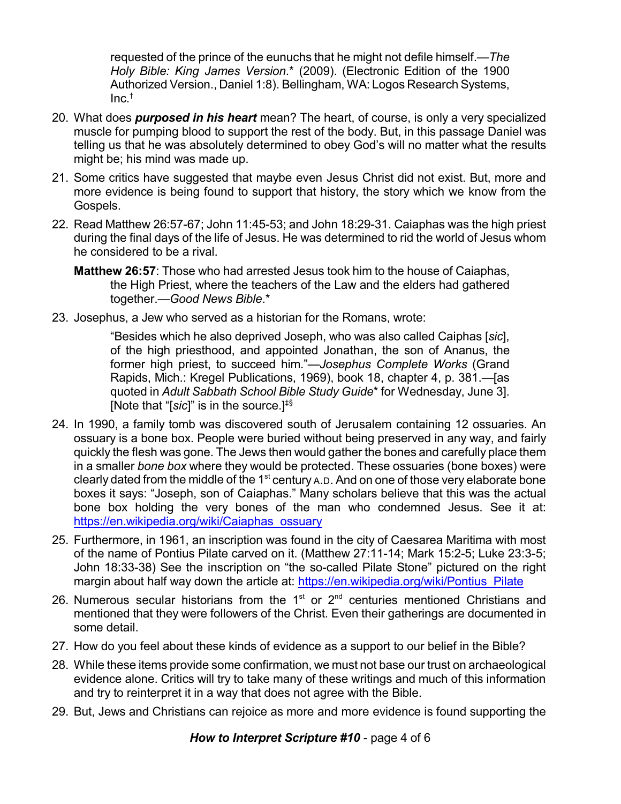requested of the prince of the eunuchs that he might not defile himself.—*The Holy Bible: King James Version*.\* (2009). (Electronic Edition of the 1900 Authorized Version., Daniel 1:8). Bellingham, WA: Logos Research Systems,  $Inc.<sup>†</sup>$ 

- 20. What does *purposed in his heart* mean? The heart, of course, is only a very specialized muscle for pumping blood to support the rest of the body. But, in this passage Daniel was telling us that he was absolutely determined to obey God's will no matter what the results might be; his mind was made up.
- 21. Some critics have suggested that maybe even Jesus Christ did not exist. But, more and more evidence is being found to support that history, the story which we know from the Gospels.
- 22. Read Matthew 26:57-67; John 11:45-53; and John 18:29-31. Caiaphas was the high priest during the final days of the life of Jesus. He was determined to rid the world of Jesus whom he considered to be a rival.
	- **Matthew 26:57**: Those who had arrested Jesus took him to the house of Caiaphas, the High Priest, where the teachers of the Law and the elders had gathered together.—*Good News Bible*.\*
- 23. Josephus, a Jew who served as a historian for the Romans, wrote:

"Besides which he also deprived Joseph, who was also called Caiphas [*sic*], of the high priesthood, and appointed Jonathan, the son of Ananus, the former high priest, to succeed him."—*Josephus Complete Works* (Grand Rapids, Mich.: Kregel Publications, 1969), book 18, chapter 4, p. 381.—[as quoted in *Adult Sabbath School Bible Study Guide*\* for Wednesday, June 3]. [Note that "[*sic*]" is in the source.] ‡§

- 24. In 1990, a family tomb was discovered south of Jerusalem containing 12 ossuaries. An ossuary is a bone box. People were buried without being preserved in any way, and fairly quickly the flesh was gone. The Jews then would gather the bones and carefully place them in a smaller *bone box* where they would be protected. These ossuaries (bone boxes) were clearly dated from the middle of the 1<sup>st</sup> century A.D. And on one of those very elaborate bone boxes it says: "Joseph, son of Caiaphas." Many scholars believe that this was the actual bone box holding the very bones of the man who condemned Jesus. See it at: [https://en.wikipedia.org/wiki/Caiaphas\\_ossuary](https://en.wikipedia.org/wiki/Caiaphas_ossuary)
- 25. Furthermore, in 1961, an inscription was found in the city of Caesarea Maritima with most of the name of Pontius Pilate carved on it. (Matthew 27:11-14; Mark 15:2-5; Luke 23:3-5; John 18:33-38) See the inscription on "the so-called Pilate Stone" pictured on the right margin about half way down the article at: https://en.wikipedia.org/wiki/Pontius Pilate
- 26. Numerous secular historians from the  $1<sup>st</sup>$  or  $2<sup>nd</sup>$  centuries mentioned Christians and mentioned that they were followers of the Christ. Even their gatherings are documented in some detail.
- 27. How do you feel about these kinds of evidence as a support to our belief in the Bible?
- 28. While these items provide some confirmation, we must not base our trust on archaeological evidence alone. Critics will try to take many of these writings and much of this information and try to reinterpret it in a way that does not agree with the Bible.
- 29. But, Jews and Christians can rejoice as more and more evidence is found supporting the

*How to Interpret Scripture #10* - page 4 of 6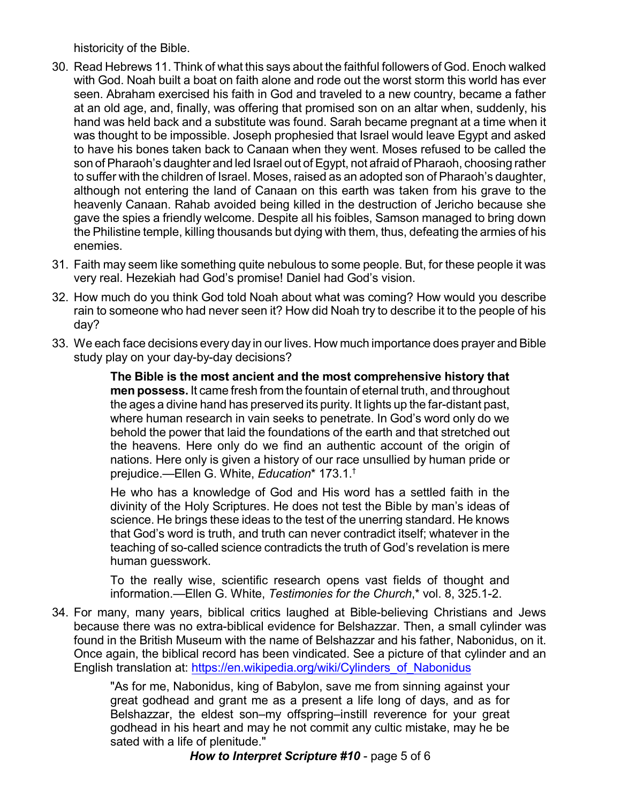historicity of the Bible.

- 30. Read Hebrews 11. Think of what this says about the faithful followers of God. Enoch walked with God. Noah built a boat on faith alone and rode out the worst storm this world has ever seen. Abraham exercised his faith in God and traveled to a new country, became a father at an old age, and, finally, was offering that promised son on an altar when, suddenly, his hand was held back and a substitute was found. Sarah became pregnant at a time when it was thought to be impossible. Joseph prophesied that Israel would leave Egypt and asked to have his bones taken back to Canaan when they went. Moses refused to be called the son of Pharaoh's daughter and led Israel out of Egypt, not afraid of Pharaoh, choosing rather to suffer with the children of Israel. Moses, raised as an adopted son of Pharaoh's daughter, although not entering the land of Canaan on this earth was taken from his grave to the heavenly Canaan. Rahab avoided being killed in the destruction of Jericho because she gave the spies a friendly welcome. Despite all his foibles, Samson managed to bring down the Philistine temple, killing thousands but dying with them, thus, defeating the armies of his enemies.
- 31. Faith may seem like something quite nebulous to some people. But, for these people it was very real. Hezekiah had God's promise! Daniel had God's vision.
- 32. How much do you think God told Noah about what was coming? How would you describe rain to someone who had never seen it? How did Noah try to describe it to the people of his day?
- 33. We each face decisions every day in our lives. How much importance does prayer and Bible study play on your day-by-day decisions?

**The Bible is the most ancient and the most comprehensive history that men possess.** It came fresh from the fountain of eternal truth, and throughout the ages a divine hand has preserved its purity. It lights up the far-distant past, where human research in vain seeks to penetrate. In God's word only do we behold the power that laid the foundations of the earth and that stretched out the heavens. Here only do we find an authentic account of the origin of nations. Here only is given a history of our race unsullied by human pride or prejudice.—Ellen G. White, *Education*\* 173.1. †

He who has a knowledge of God and His word has a settled faith in the divinity of the Holy Scriptures. He does not test the Bible by man's ideas of science. He brings these ideas to the test of the unerring standard. He knows that God's word is truth, and truth can never contradict itself; whatever in the teaching of so-called science contradicts the truth of God's revelation is mere human guesswork.

To the really wise, scientific research opens vast fields of thought and information.—Ellen G. White, *Testimonies for the Church*,\* vol. 8, 325.1-2.

34. For many, many years, biblical critics laughed at Bible-believing Christians and Jews because there was no extra-biblical evidence for Belshazzar. Then, a small cylinder was found in the British Museum with the name of Belshazzar and his father, Nabonidus, on it. Once again, the biblical record has been vindicated. See a picture of that cylinder and an English translation at: [https://en.wikipedia.org/wiki/Cylinders\\_of\\_Nabonidus](https://en.wikipedia.org/wiki/Cylinders_of_Nabonidus)

> "As for me, Nabonidus, king of Babylon, save me from sinning against your great godhead and grant me as a present a life long of days, and as for Belshazzar, the eldest son–my offspring–instill reverence for your great godhead in his heart and may he not commit any cultic mistake, may he be sated with a life of plenitude."